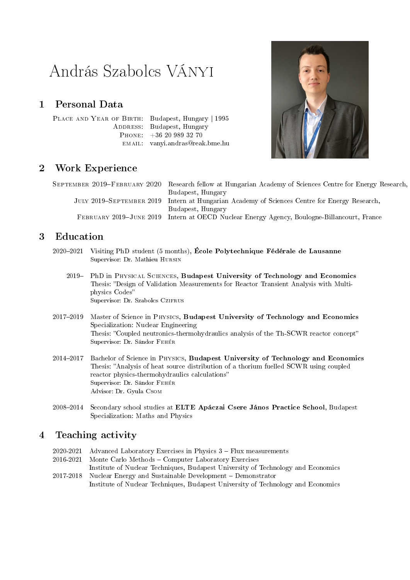# András Szabolcs Ványi

## 1 Personal Data

PLACE AND YEAR OF BIRTH: Budapest, Hungary | 1995 ADDRESS: Budapest, Hungary Phone: +36 20 989 32 70 email: vanyi.andras@reak.bme.hu



# 2 Work Experience

SEPTEMBER 2019-FEBRUARY 2020 Research fellow at Hungarian Academy of Sciences Centre for Energy Research, Budapest, Hungary JULY 2019–SEPTEMBER 2019 Intern at Hungarian Academy of Sciences Centre for Energy Research, Budapest, Hungary FEBRUARY 2019-JUNE 2019 Intern at OECD Nuclear Energy Agency, Boulogne-Billancourt, France

## 3 Education

- 20202021 Visiting PhD student (5 months), École Polytechnique Fédérale de Lausanne Supervisor: Dr. Mathieu Hursin
	- 2019 PhD in PHYSICAL SCIENCES, Budapest University of Technology and Economics Thesis: "Design of Validation Measurements for Reactor Transient Analysis with Multiphysics Codes Supervisor: Dr. Szabolcs CziFRUS
- 2017-2019 Master of Science in PHYSICS, Budapest University of Technology and Economics Specialization: Nuclear Engineering Thesis: Coupled neutronics-thermohydraulics analysis of the Th-SCWR reactor concept Supervisor: Dr. Sándor Fehér
- 2014-2017 Bachelor of Science in PHYSICS, Budapest University of Technology and Economics Thesis: Analysis of heat source distribution of a thorium fuelled SCWR using coupled reactor physics-thermohydraulics calculations" Supervisor: Dr. Sándor Fehér Advisor: Dr. Gyula Csom
- 2008-2014 Secondary school studies at ELTE Apáczai Csere János Practice School, Budapest Specialization: Maths and Physics

# 4 Teaching activity

|           | $2020-2021$ Advanced Laboratory Exercises in Physics $3$ – Flux measurements     |
|-----------|----------------------------------------------------------------------------------|
| 2016-2021 | Monte Carlo Methods – Computer Laboratory Exercises                              |
|           | Institute of Nuclear Techniques, Budapest University of Technology and Economics |
|           | 2017-2018 Nuclear Energy and Sustainable Development – Demonstrator              |
|           | Institute of Nuclear Techniques, Budapest University of Technology and Economics |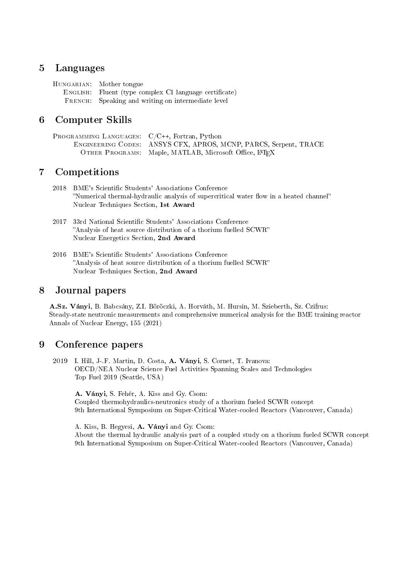#### 5 Languages

HUNGARIAN: Mother tongue ENGLISH: Fluent (type complex C1 language certificate) FRENCH: Speaking and writing on intermediate level

## 6 Computer Skills

Programming Languages: C/C++, Fortran, Python Engineering Codes: ANSYS CFX, APROS, MCNP, PARCS, Serpent, TRACE OTHER PROGRAMS: Maple, MATLAB, Microsoft Office, L<sup>AT</sup>EX

## 7 Competitions

- 2018 BME's Scientific Students' Associations Conference "Numerical thermal-hydraulic analysis of supercritical water flow in a heated channel" Nuclear Techniques Section, 1st Award
- 2017 33rd National Scientific Students' Associations Conference Analysis of heat source distribution of a thorium fuelled SCWR Nuclear Energetics Section, 2nd Award
- 2016 BME's Scientific Students' Associations Conference Analysis of heat source distribution of a thorium fuelled SCWR Nuclear Techniques Section, 2nd Award

#### 8 Journal papers

A.Sz. Ványi, B. Babcsány, Z.I. Böröczki, A. Horváth, M. Hursin, M. Szieberth, Sz. Czifrus: Steady-state neutronic measurements and comprehensive numerical analysis for the BME training reactor Annals of Nuclear Energy, 155 (2021)

#### 9 Conference papers

2019 I. Hill, J-.F. Martin, D. Costa, A. Ványi, S. Cornet, T. Ivanova: OECD/NEA Nuclear Science Fuel Activities Spanning Scales and Technologies Top Fuel 2019 (Seattle, USA)

A. Ványi, S. Fehér, A. Kiss and Gy. Csom: Coupled thermohydraulics-neutronics study of a thorium fueled SCWR concept 9th International Symposium on Super-Critical Water-cooled Reactors (Vancouver, Canada)

A. Kiss, B. Hegyesi, A. Ványi and Gy. Csom:

About the thermal hydraulic analysis part of a coupled study on a thorium fueled SCWR concept 9th International Symposium on Super-Critical Water-cooled Reactors (Vancouver, Canada)